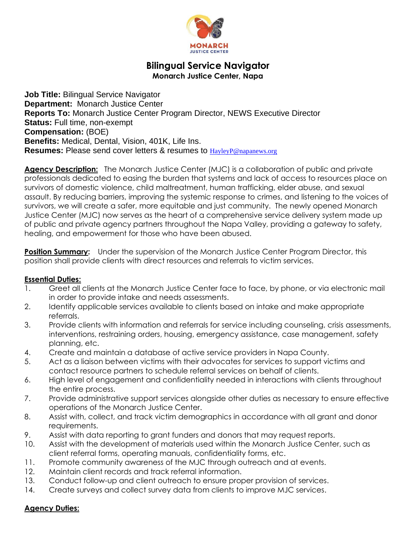

# **Bilingual Service Navigator Monarch Justice Center, Napa**

**Job Title:** Bilingual Service Navigator **Department:** Monarch Justice Center **Reports To:** Monarch Justice Center Program Director, NEWS Executive Director **Status: Full time, non-exempt Compensation:** (BOE) **Benefits:** Medical, Dental, Vision, 401K, Life Ins. **Resumes:** Please send cover letters & resumes to [HayleyP@napanews.org](mailto:HayleyP@napanews.org)

**Agency Description:** The Monarch Justice Center (MJC) is a collaboration of public and private professionals dedicated to easing the burden that systems and lack of access to resources place on survivors of domestic violence, child maltreatment, human trafficking, elder abuse, and sexual assault. By reducing barriers, improving the systemic response to crimes, and listening to the voices of survivors, we will create a safer, more equitable and just community. The newly opened Monarch Justice Center (MJC) now serves as the heart of a comprehensive service delivery system made up of public and private agency partners throughout the Napa Valley, providing a gateway to safety, healing, and empowerment for those who have been abused.

**Position Summary:** Under the supervision of the Monarch Justice Center Program Director, this position shall provide clients with direct resources and referrals to victim services.

## **Essential Duties:**

- 1. Greet all clients at the Monarch Justice Center face to face, by phone, or via electronic mail in order to provide intake and needs assessments.
- 2. Identify applicable services available to clients based on intake and make appropriate referrals.
- 3. Provide clients with information and referrals for service including counseling, crisis assessments, interventions, restraining orders, housing, emergency assistance, case management, safety planning, etc.
- 4. Create and maintain a database of active service providers in Napa County.
- 5. Act as a liaison between victims with their advocates for services to support victims and contact resource partners to schedule referral services on behalf of clients.
- 6. High level of engagement and confidentiality needed in interactions with clients throughout the entire process.
- 7. Provide administrative support services alongside other duties as necessary to ensure effective operations of the Monarch Justice Center.
- 8. Assist with, collect, and track victim demographics in accordance with all grant and donor requirements.
- 9. Assist with data reporting to grant funders and donors that may request reports.
- 10. Assist with the development of materials used within the Monarch Justice Center, such as client referral forms, operating manuals, confidentiality forms, etc.
- 11. Promote community awareness of the MJC through outreach and at events.
- 12. Maintain client records and track referral information.
- 13. Conduct follow-up and client outreach to ensure proper provision of services.
- 14. Create surveys and collect survey data from clients to improve MJC services.

## **Agency Duties:**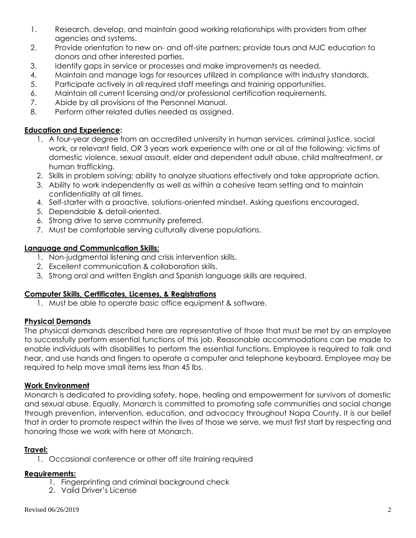- 1. Research, develop, and maintain good working relationships with providers from other agencies and systems.
- 2. Provide orientation to new on- and off-site partners; provide tours and MJC education to donors and other interested parties.
- 3. Identify gaps in service or processes and make improvements as needed.
- 4. Maintain and manage logs for resources utilized in compliance with industry standards.
- 5. Participate actively in all required staff meetings and training opportunities.
- 6. Maintain all current licensing and/or professional certification requirements.
- 7. Abide by all provisions of the Personnel Manual.
- 8. Perform other related duties needed as assigned.

## **Education and Experience:**

- 1. A four-year degree from an accredited university in human services, criminal justice, social work, or relevant field, OR 3 years work experience with one or all of the following: victims of domestic violence, sexual assault, elder and dependent adult abuse, child maltreatment, or human trafficking.
- 2. Skills in problem solving; ability to analyze situations effectively and take appropriate action.
- 3. Ability to work independently as well as within a cohesive team setting and to maintain confidentiality at all times.
- 4. Self-starter with a proactive, solutions-oriented mindset. Asking questions encouraged.
- 5. Dependable & detail-oriented.
- 6. Strong drive to serve community preferred.
- 7. Must be comfortable serving culturally diverse populations.

## **Language and Communication Skills:**

- 1. Non-judgmental listening and crisis intervention skills.
- 2. Excellent communication & collaboration skills.
- 3. Strong oral and written English and Spanish language skills are required.

# **Computer Skills, Certificates, Licenses, & Registrations**

1. Must be able to operate basic office equipment & software.

# **Physical Demands**

The physical demands described here are representative of those that must be met by an employee to successfully perform essential functions of this job. Reasonable accommodations can be made to enable individuals with disabilities to perform the essential functions. Employee is required to talk and hear, and use hands and fingers to operate a computer and telephone keyboard. Employee may be required to help move small items less than 45 lbs.

## **Work Environment**

Monarch is dedicated to providing safety, hope, healing and empowerment for survivors of domestic and sexual abuse. Equally, Monarch is committed to promoting safe communities and social change through prevention, intervention, education, and advocacy throughout Napa County. It is our belief that in order to promote respect within the lives of those we serve, we must first start by respecting and honoring those we work with here at Monarch.

## **Travel:**

1. Occasional conference or other off site training required

## **Requirements:**

- 1. Fingerprinting and criminal background check
- 2. Valid Driver's License